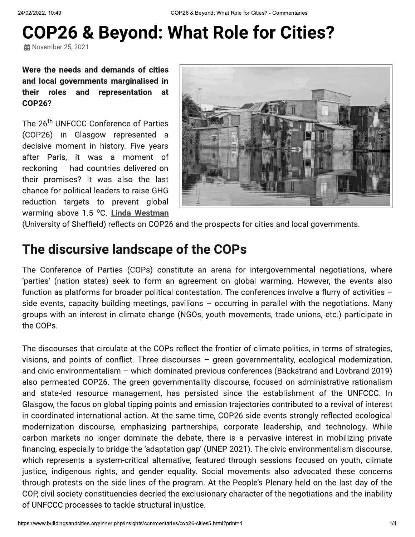# **COP26 & Beyond: What Role for Cities?**

**益** November 25, 2021

Were the needs and demands of cities and local governments marginalised in roles their and representation at **COP26?** 

The 26<sup>th</sup> UNFCCC Conference of Parties (COP26) in Glasgow represented a decisive moment in history. Five years after Paris, it was a moment of reckoning - had countries delivered on their promises? It was also the last chance for political leaders to raise GHG reduction targets to prevent global warming above 1.5 °C. Linda Westman



(University of Sheffield) reflects on COP26 and the prospects for cities and local governments.

#### The discursive landscape of the COPs

The Conference of Parties (COPs) constitute an arena for intergovernmental negotiations, where 'parties' (nation states) seek to form an agreement on global warming. However, the events also function as platforms for broader political contestation. The conferences involve a flurry of activities side events, capacity building meetings, pavilions  $-$  occurring in parallel with the negotiations. Many groups with an interest in climate change (NGOs, youth movements, trade unions, etc.) participate in the COPs.

The discourses that circulate at the COPs reflect the frontier of climate politics, in terms of strategies, visions, and points of conflict. Three discourses - green governmentality, ecological modernization, and civic environmentalism - which dominated previous conferences (Bäckstrand and Lövbrand 2019) also permeated COP26. The green governmentality discourse, focused on administrative rationalism and state-led resource management, has persisted since the establishment of the UNFCCC. In Glasgow, the focus on global tipping points and emission trajectories contributed to a revival of interest in coordinated international action. At the same time, COP26 side events strongly reflected ecological modernization discourse, emphasizing partnerships, corporate leadership, and technology. While carbon markets no longer dominate the debate, there is a pervasive interest in mobilizing private financing, especially to bridge the 'adaptation gap' (UNEP 2021). The civic environmentalism discourse, which represents a system-critical alternative, featured through sessions focused on youth, climate justice, indigenous rights, and gender equality. Social movements also advocated these concerns through protests on the side lines of the program. At the People's Plenary held on the last day of the COP, civil society constituencies decried the exclusionary character of the negotiations and the inability of UNFCCC processes to tackle structural injustice.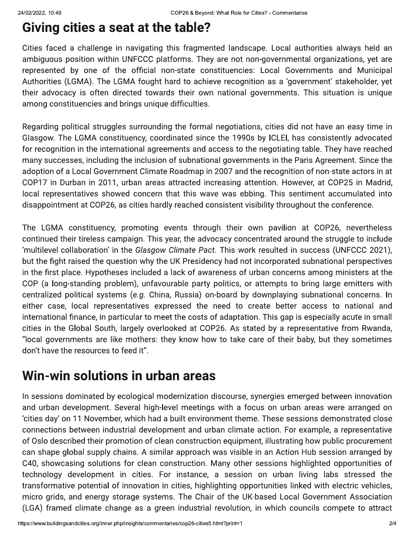# **Giving cities a seat at the table?**

Cities faced a challenge in navigating this fragmented landscape. Local authorities always held an ambiguous position within UNFCCC platforms. They are not non-governmental organizations, yet are represented by one of the official non-state constituencies: Local Governments and Municipal Authorities (LGMA). The LGMA fought hard to achieve recognition as a 'government' stakeholder, yet their advocacy is often directed towards their own national governments. This situation is unique among constituencies and brings unique difficulties.

Regarding political struggles surrounding the formal negotiations, cities did not have an easy time in Glasgow. The LGMA constituency, coordinated since the 1990s by ICLEI, has consistently advocated for recognition in the international agreements and access to the negotiating table. They have reached many successes, including the inclusion of subnational governments in the Paris Agreement. Since the adoption of a Local Government Climate Roadmap in 2007 and the recognition of non-state actors in at COP17 in Durban in 2011, urban areas attracted increasing attention. However, at COP25 in Madrid, local representatives showed concern that this wave was ebbing. This sentiment accumulated into disappointment at COP26, as cities hardly reached consistent visibility throughout the conference.

The LGMA constituency, promoting events through their own pavilion at COP26, nevertheless continued their tireless campaign. This year, the advocacy concentrated around the struggle to include 'multilevel collaboration' in the Glasgow Climate Pact. This work resulted in success (UNFCCC 2021), but the fight raised the question why the UK Presidency had not incorporated subnational perspectives in the first place. Hypotheses included a lack of awareness of urban concerns among ministers at the COP (a long-standing problem), unfavourable party politics, or attempts to bring large emitters with centralized political systems (e.g. China, Russia) on-board by downplaying subnational concerns. In either case, local representatives expressed the need to create better access to national and international finance, in particular to meet the costs of adaptation. This gap is especially acute in small cities in the Global South, largely overlooked at COP26. As stated by a representative from Rwanda, "local governments are like mothers: they know how to take care of their baby, but they sometimes don't have the resources to feed it".

# Win-win solutions in urban areas

In sessions dominated by ecological modernization discourse, synergies emerged between innovation and urban development. Several high-level meetings with a focus on urban areas were arranged on cities day' on 11 November, which had a built environment theme. These sessions demonstrated close connections between industrial development and urban climate action. For example, a representative of Oslo described their promotion of clean construction equipment, illustrating how public procurement can shape global supply chains. A similar approach was visible in an Action Hub session arranged by C40, showcasing solutions for clean construction. Many other sessions highlighted opportunities of technology development in cities. For instance, a session on urban living labs stressed the transformative potential of innovation in cities, highlighting opportunities linked with electric vehicles, micro grids, and energy storage systems. The Chair of the UK-based Local Government Association (LGA) framed climate change as a green industrial revolution, in which councils compete to attract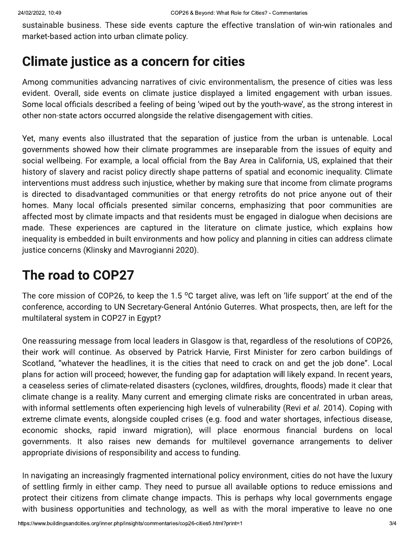sustainable business. These side events capture the effective translation of win-win rationales and market-based action into urban climate policy.

#### **Climate justice as a concern for cities**

Among communities advancing narratives of civic environmentalism, the presence of cities was less evident. Overall, side events on climate justice displayed a limited engagement with urban issues. Some local officials described a feeling of being 'wiped out by the youth-wave', as the strong interest in other non-state actors occurred alongside the relative disengagement with cities.

Yet, many events also illustrated that the separation of justice from the urban is untenable. Local governments showed how their climate programmes are inseparable from the issues of equity and social wellbeing. For example, a local official from the Bay Area in California, US, explained that their history of slavery and racist policy directly shape patterns of spatial and economic inequality. Climate interventions must address such injustice, whether by making sure that income from climate programs is directed to disadvantaged communities or that energy retrofits do not price anyone out of their homes. Many local officials presented similar concerns, emphasizing that poor communities are affected most by climate impacts and that residents must be engaged in dialogue when decisions are made. These experiences are captured in the literature on climate justice, which explains how inequality is embedded in built environments and how policy and planning in cities can address climate justice concerns (Klinsky and Mavrogianni 2020).

## The road to COP27

The core mission of COP26, to keep the 1.5  $\degree$ C target alive, was left on 'life support' at the end of the conference, according to UN Secretary-General António Guterres. What prospects, then, are left for the multilateral system in COP27 in Egypt?

One reassuring message from local leaders in Glasgow is that, regardless of the resolutions of COP26, their work will continue. As observed by Patrick Harvie, First Minister for zero carbon buildings of Scotland, "whatever the headlines, it is the cities that need to crack on and get the job done". Local plans for action will proceed; however, the funding gap for adaptation will likely expand. In recent years, a ceaseless series of climate-related disasters (cyclones, wildfires, droughts, floods) made it clear that climate change is a reality. Many current and emerging climate risks are concentrated in urban areas, with informal settlements often experiencing high levels of vulnerability (Revi et al. 2014). Coping with extreme climate events, alongside coupled crises (e.g. food and water shortages, infectious disease, economic shocks, rapid inward migration), will place enormous financial burdens on local governments. It also raises new demands for multilevel governance arrangements to deliver appropriate divisions of responsibility and access to funding.

In navigating an increasingly fragmented international policy environment, cities do not have the luxury of settling firmly in either camp. They need to pursue all available options to reduce emissions and protect their citizens from climate change impacts. This is perhaps why local governments engage with business opportunities and technology, as well as with the moral imperative to leave no one